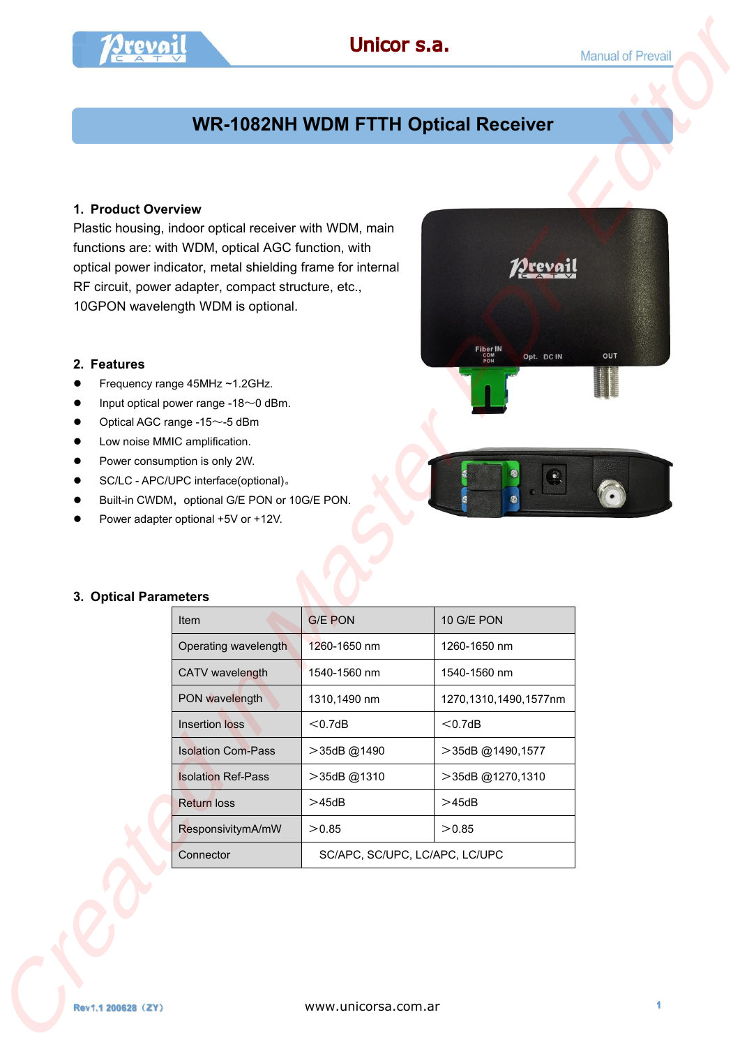# **WR-1082NH WDM FTTH Optical Receiver**

### **1. Product Overview**

#### **2. Features**

- Frequency range 45MHz ~1.2GHz.
- **•** Input optical power range -18 $\sim$ 0 dBm.
- $\bullet$  Optical AGC range -15 $\sim$ -5 dBm
- **•** Low noise MMIC amplification.
- Power consumption is only 2W.
- SC/LC APC/UPC interface(optional)。
- Built-in CWDM, optional G/E PON or 10G/E PON.
- Power adapter optional +5V or +12V.



#### **3. Optical Parameters**

|                       |                                                                                                                                                                                                                                                                            | Unicor s.a.                                |                                      | <b>Manual of Prevail</b> |
|-----------------------|----------------------------------------------------------------------------------------------------------------------------------------------------------------------------------------------------------------------------------------------------------------------------|--------------------------------------------|--------------------------------------|--------------------------|
|                       |                                                                                                                                                                                                                                                                            | <b>WR-1082NH WDM FTTH Optical Receiver</b> |                                      |                          |
|                       |                                                                                                                                                                                                                                                                            |                                            |                                      |                          |
| 1. Product Overview   | Plastic housing, indoor optical receiver with WDM, main<br>functions are: with WDM, optical AGC function, with<br>optical power indicator, metal shielding frame for internal<br>RF circuit, power adapter, compact structure, etc.,<br>10GPON wavelength WDM is optional. |                                            | <i>V</i> Jrevai                      |                          |
| 2. Features           | Frequency range 45MHz ~1.2GHz.<br>Input optical power range -18~0 dBm.                                                                                                                                                                                                     |                                            | Fiber IN<br>COM<br>PON<br>Opt. DC IN | OUT                      |
|                       | Optical AGC range -15~-5 dBm<br>Low noise MMIC amplification.<br>Power consumption is only 2W.<br>SC/LC - APC/UPC interface(optional).<br>Built-in CWDM, optional G/E PON or 10G/E PON.<br>Power adapter optional +5V or +12V.                                             |                                            | $\odot$                              |                          |
| 3. Optical Parameters |                                                                                                                                                                                                                                                                            |                                            |                                      |                          |
|                       | Item                                                                                                                                                                                                                                                                       | <b>G/E PON</b>                             | 10 G/E PON                           |                          |
|                       | Operating wavelength                                                                                                                                                                                                                                                       | 1260-1650 nm                               | 1260-1650 nm                         |                          |
|                       | CATV wavelength                                                                                                                                                                                                                                                            | 1540-1560 nm                               | 1540-1560 nm                         |                          |
|                       | PON wavelength                                                                                                                                                                                                                                                             | 1310,1490 nm                               | 1270,1310,1490,1577nm                |                          |
|                       | Insertion loss                                                                                                                                                                                                                                                             | $<$ 0.7dB                                  | $<$ 0.7dB                            |                          |
|                       | <b>Isolation Com-Pass</b>                                                                                                                                                                                                                                                  | >35dB@1490                                 | >35dB @1490,1577                     |                          |
|                       | <b>Isolation Ref-Pass</b>                                                                                                                                                                                                                                                  | >35dB@1310                                 | >35dB @1270,1310                     |                          |
|                       | <b>Return loss</b>                                                                                                                                                                                                                                                         | >45dB                                      | >45dB                                |                          |
|                       | ResponsivitymA/mW                                                                                                                                                                                                                                                          | >0.85                                      | >0.85                                |                          |
|                       | Connector                                                                                                                                                                                                                                                                  | SC/APC, SC/UPC, LC/APC, LC/UPC             |                                      |                          |
| Rev1.1 200628 (ZY)    |                                                                                                                                                                                                                                                                            | www.unicorsa.com.ar                        |                                      | 1                        |